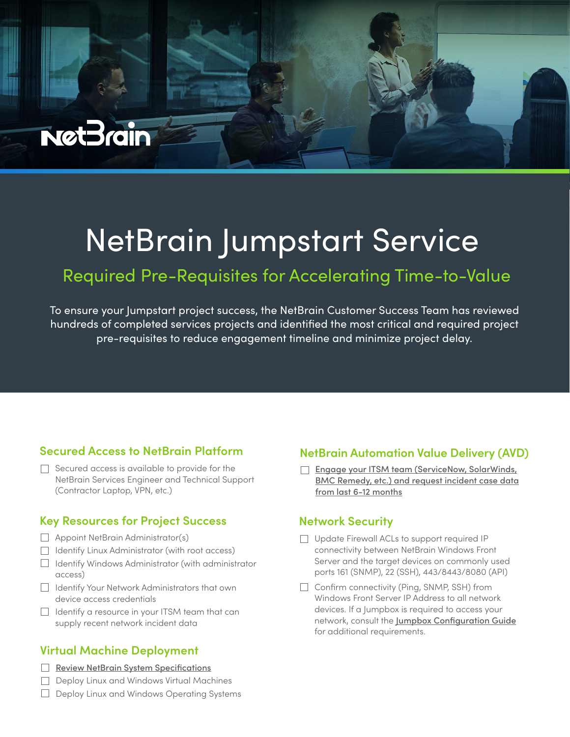# NetBrain Jumpstart Service

## Required Pre-Requisites for Accelerating Time-to-Value

To ensure your Jumpstart project success, the NetBrain Customer Success Team has reviewed hundreds of completed services projects and identified the most critical and required project pre-requisites to reduce engagement timeline and minimize project delay.

#### **Secured Access to NetBrain Platform**

 $\Box$  Secured access is available to provide for the NetBrain Services Engineer and Technical Support (Contractor Laptop, VPN, etc.)

#### **Key Resources for Project Success**

 $\Box$  Appoint NetBrain Administrator(s)

**NetBrain** 

- Identify Linux Administrator (with root access)
- $\Box$  Identify Windows Administrator (with administrator access)
- Identify Your Network Administrators that own device access credentials
- $\Box$  Identify a resource in your ITSM team that can supply recent network incident data

#### **Virtual Machine Deployment**

- [Review NetBrain System Specifications](https://www.netbraintech.com/docs/ie100a/help/index.html?system-requirement.htm)
- Deploy Linux and Windows Virtual Machines

#### $\Box$  Deploy Linux and Windows Operating Systems

#### **NetBrain Automation Value Delivery (AVD)**

Engage your ITSM team (ServiceNow, SolarWinds, [BMC Remedy, etc.\) and request incident case data](https://community.netbraintech.com/articles/knowledgebase/NetBrain-Automation-ITSM-Incident-Data-23-11-2021)  from last 6-12 months

#### **Network Security**

- □ Update Firewall ACLs to support required IP connectivity between NetBrain Windows Front Server and the target devices on commonly used ports 161 (SNMP), 22 (SSH), 443/8443/8080 (API)
- $\Box$  Confirm connectivity (Ping, SNMP, SSH) from Windows Front Server IP Address to all network devices. If a Jumpbox is required to access your network, consult the [Jumpbox Configuration Guide](https://www.netbraintech.com/docs/ie100a/help/index.html?network-settings.htm#jumpbox) for additional requirements.